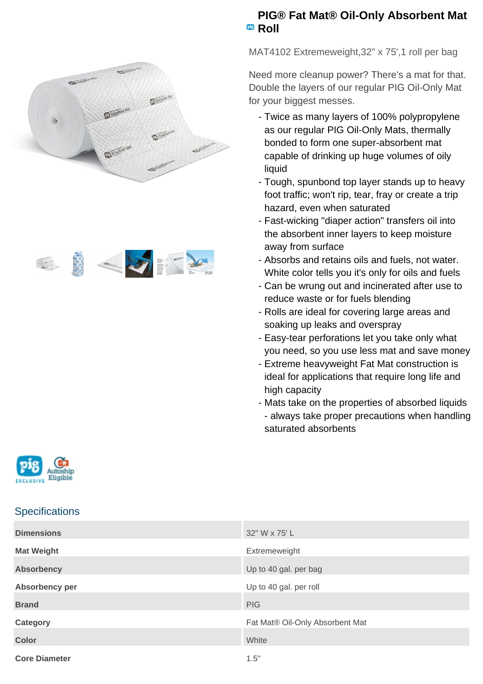



## **PIG® Fat Mat® Oil-Only Absorbent Mat Roll**

MAT4102 Extremeweight,32" x 75',1 roll per bag

Need more cleanup power? There's a mat for that. Double the layers of our regular PIG Oil-Only Mat for your biggest messes.

- Twice as many layers of 100% polypropylene as our regular PIG Oil-Only Mats, thermally bonded to form one super-absorbent mat capable of drinking up huge volumes of oily liquid
- Tough, spunbond top layer stands up to heavy foot traffic; won't rip, tear, fray or create a trip hazard, even when saturated
- Fast-wicking "diaper action" transfers oil into the absorbent inner layers to keep moisture away from surface
- Absorbs and retains oils and fuels, not water. White color tells you it's only for oils and fuels
- Can be wrung out and incinerated after use to reduce waste or for fuels blending
- Rolls are ideal for covering large areas and soaking up leaks and overspray
- Easy-tear perforations let you take only what you need, so you use less mat and save money
- Extreme heavyweight Fat Mat construction is ideal for applications that require long life and high capacity
- Mats take on the properties of absorbed liquids - always take proper precautions when handling saturated absorbents



## **Specifications**

| <b>Dimensions</b>    | 32" W x 75' L                   |
|----------------------|---------------------------------|
| <b>Mat Weight</b>    | Extremeweight                   |
| <b>Absorbency</b>    | Up to 40 gal. per bag           |
| Absorbency per       | Up to 40 gal. per roll          |
| <b>Brand</b>         | <b>PIG</b>                      |
| <b>Category</b>      | Fat Mat® Oil-Only Absorbent Mat |
| <b>Color</b>         | White                           |
| <b>Core Diameter</b> | 1.5"                            |